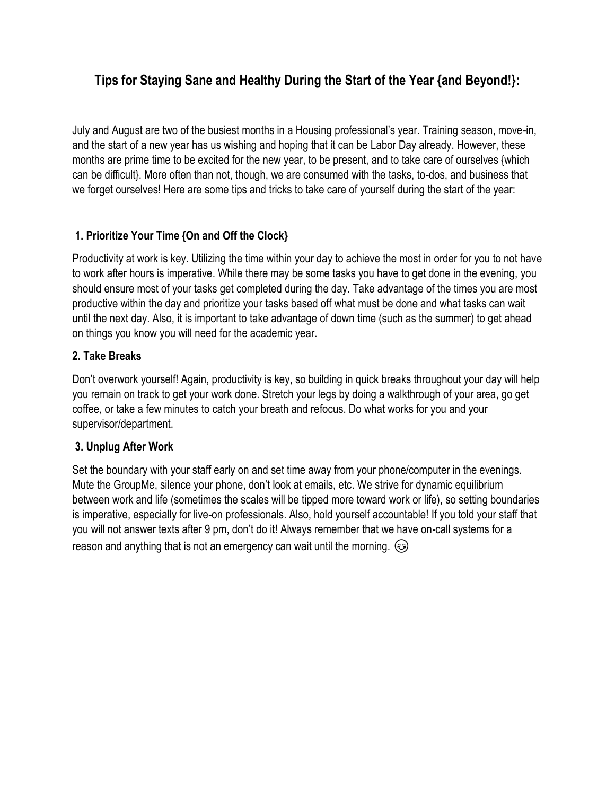# **Tips for Staying Sane and Healthy During the Start of the Year {and Beyond!}:**

July and August are two of the busiest months in a Housing professional's year. Training season, move-in, and the start of a new year has us wishing and hoping that it can be Labor Day already. However, these months are prime time to be excited for the new year, to be present, and to take care of ourselves {which can be difficult}. More often than not, though, we are consumed with the tasks, to-dos, and business that we forget ourselves! Here are some tips and tricks to take care of yourself during the start of the year:

## **1. Prioritize Your Time {On and Off the Clock}**

Productivity at work is key. Utilizing the time within your day to achieve the most in order for you to not have to work after hours is imperative. While there may be some tasks you have to get done in the evening, you should ensure most of your tasks get completed during the day. Take advantage of the times you are most productive within the day and prioritize your tasks based off what must be done and what tasks can wait until the next day. Also, it is important to take advantage of down time (such as the summer) to get ahead on things you know you will need for the academic year.

## **2. Take Breaks**

Don't overwork yourself! Again, productivity is key, so building in quick breaks throughout your day will help you remain on track to get your work done. Stretch your legs by doing a walkthrough of your area, go get coffee, or take a few minutes to catch your breath and refocus. Do what works for you and your supervisor/department.

## **3. Unplug After Work**

Set the boundary with your staff early on and set time away from your phone/computer in the evenings. Mute the GroupMe, silence your phone, don't look at emails, etc. We strive for dynamic equilibrium between work and life (sometimes the scales will be tipped more toward work or life), so setting boundaries is imperative, especially for live-on professionals. Also, hold yourself accountable! If you told your staff that you will not answer texts after 9 pm, don't do it! Always remember that we have on-call systems for a reason and anything that is not an emergency can wait until the morning.  $\odot$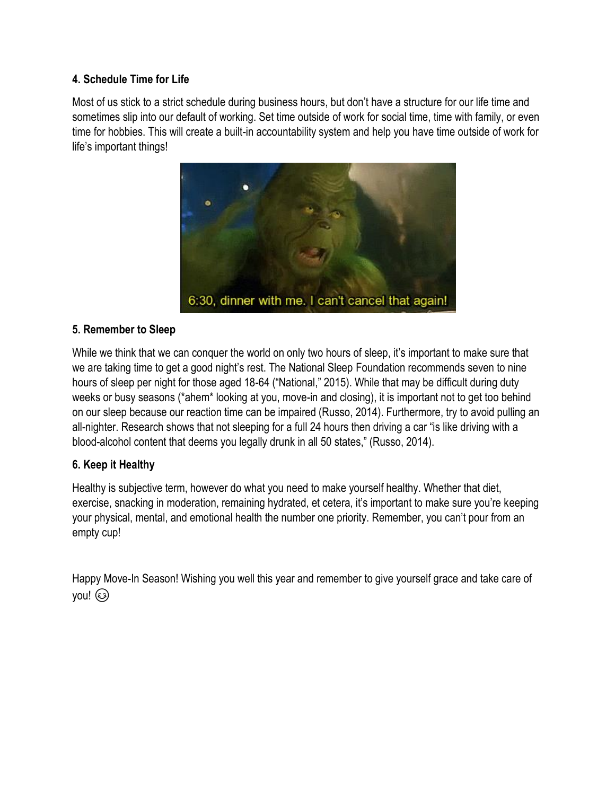#### **4. Schedule Time for Life**

Most of us stick to a strict schedule during business hours, but don't have a structure for our life time and sometimes slip into our default of working. Set time outside of work for social time, time with family, or even time for hobbies. This will create a built-in accountability system and help you have time outside of work for life's important things!



#### **5. Remember to Sleep**

While we think that we can conquer the world on only two hours of sleep, it's important to make sure that we are taking time to get a good night's rest. The National Sleep Foundation recommends seven to nine hours of sleep per night for those aged 18-64 ("National," 2015). While that may be difficult during duty weeks or busy seasons (\*ahem\* looking at you, move-in and closing), it is important not to get too behind on our sleep because our reaction time can be impaired (Russo, 2014). Furthermore, try to avoid pulling an all-nighter. Research shows that not sleeping for a full 24 hours then driving a car "is like driving with a blood-alcohol content that deems you legally drunk in all 50 states," (Russo, 2014).

#### **6. Keep it Healthy**

Healthy is subjective term, however do what you need to make yourself healthy. Whether that diet, exercise, snacking in moderation, remaining hydrated, et cetera, it's important to make sure you're keeping your physical, mental, and emotional health the number one priority. Remember, you can't pour from an empty cup!

Happy Move-In Season! Wishing you well this year and remember to give yourself grace and take care of you!